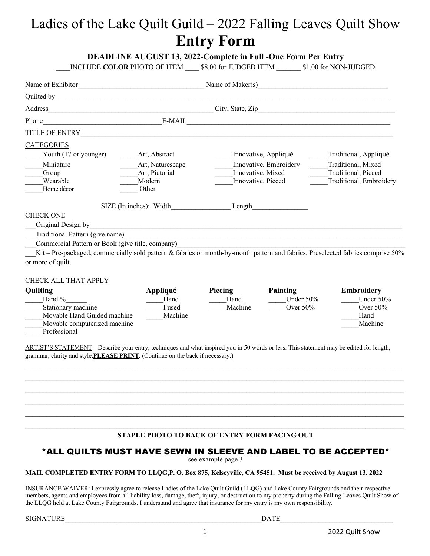# Ladies of the Lake Quilt Guild – 2022 Falling Leaves Quilt Show **Entry Form**

### **DEADLINE AUGUST 13, 2022-Complete in Full -One Form Per Entry**

INCLUDE **COLOR** PHOTO OF ITEM  $$8.00$  for JUDGED ITEM  $$1.00$  for NON-JUDGED

| Name of Exhibitor                                | Name of Maker(s)         |                                                                                                                                 |                                                |
|--------------------------------------------------|--------------------------|---------------------------------------------------------------------------------------------------------------------------------|------------------------------------------------|
|                                                  |                          |                                                                                                                                 |                                                |
|                                                  |                          |                                                                                                                                 |                                                |
| Phone                                            | E-MAIL                   | <u> 1990 - Jan Barbara (j. 1980)</u><br>1900 - Johann Barbara, frantziar frantziar (h. 1900)                                    |                                                |
|                                                  |                          |                                                                                                                                 |                                                |
| <b>CATEGORIES</b>                                |                          |                                                                                                                                 |                                                |
| Youth (17 or younger)                            | Art, Abstract            | Innovative, Appliqué                                                                                                            | Traditional, Appliqué                          |
| Miniature                                        | Art, Naturescape         | Innovative, Embroidery                                                                                                          | Traditional, Mixed                             |
| Group<br>Wearable                                | Art, Pictorial<br>Modern | Innovative, Mixed<br>Innovative, Pieced                                                                                         | Traditional, Pieced<br>Traditional, Embroidery |
| Home décor                                       | Other                    |                                                                                                                                 |                                                |
|                                                  |                          | SIZE (In inches): Width Length Length                                                                                           |                                                |
| <b>CHECK ONE</b>                                 |                          |                                                                                                                                 |                                                |
| Original Design by                               |                          | <u> 1989 - Johann John Stoff, deutscher Stoff und der Stoff und der Stoff und der Stoff und der Stoff und der Stoff</u>         |                                                |
| Traditional Pattern (give name)                  |                          | <u> 1980 - Andrea State Barbara, amerikan personal di sebagai personal di sebagai personal di sebagai personal d</u>            |                                                |
| Commercial Pattern or Book (give title, company) |                          |                                                                                                                                 |                                                |
|                                                  |                          | Kit - Pre-packaged, commercially sold pattern & fabrics or month-by-month pattern and fabrics. Preselected fabrics comprise 50% |                                                |
| or more of quilt.                                |                          |                                                                                                                                 |                                                |
| $C\Pi$ E $C\overline{V}$ at $I$ the $T$ and $V$  |                          |                                                                                                                                 |                                                |

#### <u>CHECK ALL THAT APPLY</u>

| Quilting                     | Appliqué | Piecing | Painting     | <b>Embroidery</b> |
|------------------------------|----------|---------|--------------|-------------------|
| Hand %                       | Hand     | Hand    | Under $50\%$ | Under $50\%$      |
| Stationary machine           | Fused    | Machine | Over $50\%$  | Over $50\%$       |
| Movable Hand Guided machine  | Machine  |         |              | Hand              |
| Movable computerized machine |          |         |              | Machine           |
| Professional                 |          |         |              |                   |

ARTIST'S STATEMENT-- Describe your entry, techniques and what inspired you in 50 words or less. This statement may be edited for length, grammar, clarity and style.**PLEASE PRINT**. (Continue on the back if necessary.)

#### **STAPLE PHOTO TO BACK OF ENTRY FORM FACING OUT**

 $\mathcal{L}_\mathcal{L} = \mathcal{L}_\mathcal{L} = \mathcal{L}_\mathcal{L} = \mathcal{L}_\mathcal{L} = \mathcal{L}_\mathcal{L} = \mathcal{L}_\mathcal{L} = \mathcal{L}_\mathcal{L} = \mathcal{L}_\mathcal{L} = \mathcal{L}_\mathcal{L} = \mathcal{L}_\mathcal{L} = \mathcal{L}_\mathcal{L} = \mathcal{L}_\mathcal{L} = \mathcal{L}_\mathcal{L} = \mathcal{L}_\mathcal{L} = \mathcal{L}_\mathcal{L} = \mathcal{L}_\mathcal{L} = \mathcal{L}_\mathcal{L}$  $\mathcal{L}_\mathcal{L} = \mathcal{L}_\mathcal{L} = \mathcal{L}_\mathcal{L} = \mathcal{L}_\mathcal{L} = \mathcal{L}_\mathcal{L} = \mathcal{L}_\mathcal{L} = \mathcal{L}_\mathcal{L} = \mathcal{L}_\mathcal{L} = \mathcal{L}_\mathcal{L} = \mathcal{L}_\mathcal{L} = \mathcal{L}_\mathcal{L} = \mathcal{L}_\mathcal{L} = \mathcal{L}_\mathcal{L} = \mathcal{L}_\mathcal{L} = \mathcal{L}_\mathcal{L} = \mathcal{L}_\mathcal{L} = \mathcal{L}_\mathcal{L}$  $\mathcal{L}_\mathcal{L} = \mathcal{L}_\mathcal{L} = \mathcal{L}_\mathcal{L} = \mathcal{L}_\mathcal{L} = \mathcal{L}_\mathcal{L} = \mathcal{L}_\mathcal{L} = \mathcal{L}_\mathcal{L} = \mathcal{L}_\mathcal{L} = \mathcal{L}_\mathcal{L} = \mathcal{L}_\mathcal{L} = \mathcal{L}_\mathcal{L} = \mathcal{L}_\mathcal{L} = \mathcal{L}_\mathcal{L} = \mathcal{L}_\mathcal{L} = \mathcal{L}_\mathcal{L} = \mathcal{L}_\mathcal{L} = \mathcal{L}_\mathcal{L}$ 

# <u>\*ALL QUILTS MUST HAVE SEWN IN SLEEVE AND LABEL TO BE ACCEPTED \*</u><br>see example page 3

#### **MAIL COMPLETED ENTRY FORM TO LLQG,P. O. Box 875, Kelseyville, CA 95451. Must be received by August 13, 2022**

INSURANCE WAIVER: I expressly agree to release Ladies of the Lake Quilt Guild (LLQG) and Lake County Fairgrounds and their respective members, agents and employees from all liability loss, damage, theft, injury, or destruction to my property during the Falling Leaves Quilt Show of the LLQG held at Lake County Fairgrounds. I understand and agree that insurance for my entry is my own responsibility.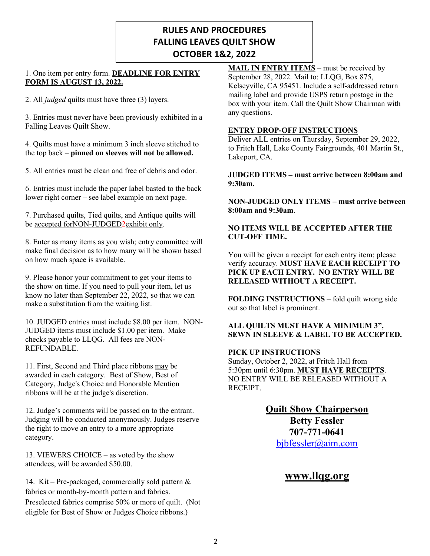# **RULES AND PROCEDURES FALLING LEAVES QUILT SHOW OCTOBER 1&2, 2022**

#### 1. One item per entry form. **DEADLINE FOR ENTRY FORM IS AUGUST 13, 2022.**

2. All *judged* quilts must have three (3) layers.

3. Entries must never have been previously exhibited in a Falling Leaves Quilt Show.

4. Quilts must have a minimum 3 inch sleeve stitched to the top back – **pinned on sleeves will not be allowed.**

5. All entries must be clean and free of debris and odor.

6. Entries must include the paper label basted to the back lower right corner – see label example on next page.

7. Purchased quilts, Tied quilts, and Antique quilts will be accepted forNON-JUDGED2exhibit only.

8. Enter as many items as you wish; entry committee will make final decision as to how many will be shown based on how much space is available.

9. Please honor your commitment to get your items to the show on time. If you need to pull your item, let us know no later than September 22, 2022, so that we can make a substitution from the waiting list.

10. JUDGED entries must include \$8.00 per item. NON-JUDGED items must include \$1.00 per item. Make checks payable to LLQG. All fees are NON-REFUNDABLE.

11. First, Second and Third place ribbons may be awarded in each category. Best of Show, Best of Category, Judge's Choice and Honorable Mention ribbons will be at the judge's discretion.

12. Judge's comments will be passed on to the entrant. Judging will be conducted anonymously. Judges reserve the right to move an entry to a more appropriate category.

13. VIEWERS CHOICE – as voted by the show attendees, will be awarded \$50.00.

14. Kit – Pre-packaged, commercially sold pattern & fabrics or month-by-month pattern and fabrics. Preselected fabrics comprise 50% or more of quilt. (Not eligible for Best of Show or Judges Choice ribbons.)

**MAIL IN ENTRY ITEMS** – must be received by September 28, 2022. Mail to: LLQG, Box 875, Kelseyville, CA 95451. Include a self-addressed return mailing label and provide USPS return postage in the box with your item. Call the Quilt Show Chairman with any questions.

#### **ENTRY DROP-OFF INSTRUCTIONS**

Deliver ALL entries on Thursday, September 29, 2022, to Fritch Hall, Lake County Fairgrounds, 401 Martin St., Lakeport, CA.

#### **JUDGED ITEMS – must arrive between 8:00am and 9:30am.**

**NON-JUDGED ONLY ITEMS – must arrive between 8:00am and 9:30am**.

#### **NO ITEMS WILL BE ACCEPTED AFTER THE CUT-OFF TIME.**

You will be given a receipt for each entry item; please verify accuracy. **MUST HAVE EACH RECEIPT TO PICK UP EACH ENTRY. NO ENTRY WILL BE RELEASED WITHOUT A RECEIPT.**

**FOLDING INSTRUCTIONS** – fold quilt wrong side out so that label is prominent.

#### **ALL QUILTS MUST HAVE A MINIMUM 3", SEWN IN SLEEVE & LABEL TO BE ACCEPTED.**

#### **PICK UP INSTRUCTIONS**

Sunday, October 2, 2022, at Fritch Hall from 5:30pm until 6:30pm. **MUST HAVE RECEIPTS**. NO ENTRY WILL BE RELEASED WITHOUT A RECEIPT.

## **Quilt Show Chairperson Betty Fessler 707-771-0641** bjbfessler@aim.com

## **www.llqg.org**